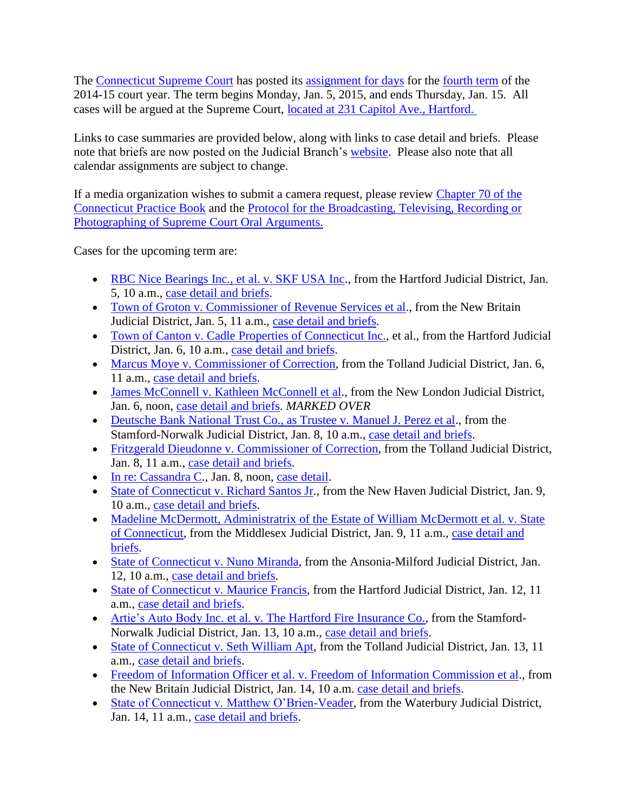The [Connecticut Supreme Court](http://www.jud.ct.gov/external/supapp/default.htm) has posted its [assignment for days](http://www.jud.ct.gov/external/supapp/sup_assign.htm) for the [fourth term](http://www.jud.ct.gov/external/supapp/CourtTermSup.htm) of the 2014-15 court year. The term begins Monday, Jan. 5, 2015, and ends Thursday, Jan. 15. All cases will be argued at the Supreme Court, [located at 231 Capitol Ave., Hartford.](http://www.jud.ct.gov/directory/directory/directions/supremecourt.htm) 

Links to case summaries are provided below, along with links to case detail and briefs. Please note that briefs are now posted on the Judicial Branch's [website.](http://www.jud.ct.gov/) Please also note that all calendar assignments are subject to change.

If a media organization wishes to submit a camera request, please review [Chapter 70 of the](http://www.jud.ct.gov/pb.htm)  [Connecticut Practice Book](http://www.jud.ct.gov/pb.htm) and the [Protocol for the Broadcasting, Televising, Recording or](http://www.jud.ct.gov/external/supapp/protocol_sup_oral_argu.htm)  [Photographing of Supreme Court Oral Arguments.](http://www.jud.ct.gov/external/supapp/protocol_sup_oral_argu.htm)

Cases for the upcoming term are:

- [RBC Nice Bearings Inc., et al. v. SKF USA Inc.](http://jud.ct.gov/external/supapp/Summaries/Docket/19253.htm), from the Hartford Judicial District, Jan. 5, 10 a.m., [case detail](http://appellateinquiry.jud.ct.gov/CaseDetail.aspx?CRN=48567&Type=AppealNo) and briefs.
- [Town of Groton v. Commissioner of Revenue Services et al.](http://jud.ct.gov/external/supapp/Summaries/Docket/19397.htm), from the New Britain Judicial District, Jan. 5, 11 a.m., [case detail](http://appellateinquiry.jud.ct.gov/CaseDetail.aspx?CRN=50486&Type=AppealNo) and briefs.
- [Town of Canton v. Cadle Properties of Connecticut Inc.,](http://jud.ct.gov/external/supapp/Summaries/Docket/19225.htm) et al., from the Hartford Judicial District, Jan. 6, 10 a.m., [case detail](http://appellateinquiry.jud.ct.gov/CaseDetail.aspx?CRN=48357&Type=AppealNo) and briefs.
- [Marcus Moye v. Commissioner of Correction,](http://jud.ct.gov/external/supapp/Summaries/Docket/19271.htm) from the Tolland Judicial District, Jan. 6, 11 a.m., [case detail](http://appellateinquiry.jud.ct.gov/CaseDetail.aspx?CRN=48790&Type=AppealNo) and briefs.
- [James McConnell v. Kathleen McConnell et al.](http://jud.ct.gov/external/supapp/Summaries/Docket/19257.htm), from the New London Judicial District, Jan. 6, noon, [case detail](http://appellateinquiry.jud.ct.gov/CaseDetail.aspx?CRN=48574&Type=AppealNo) and briefs. *MARKED OVER*
- [Deutsche Bank National Trust Co., as Trustee v. Manuel J. Perez et al.](http://jud.ct.gov/external/supapp/Summaries/Docket/19289.htm), from the Stamford-Norwalk Judicial District, Jan. 8, 10 a.m., [case detail](http://appellateinquiry.jud.ct.gov/CaseDetail.aspx?CRN=49048&Type=AppealNo) and briefs.
- Fritzgerald Dieudonne [v. Commissioner of Correction,](http://jud.ct.gov/external/supapp/Summaries/Docket/19140.htm) from the Tolland Judicial District, Jan. 8, 11 a.m., [case detail](http://appellateinquiry.jud.ct.gov/CaseDetail.aspx?CRN=47223&Type=AppealNo) and briefs.
- [In re: Cassandra C.](http://jud.ct.gov/external/supapp/Summaries/Docket/19426.htm), Jan. 8, noon, [case detail.](http://appellateinquiry.jud.ct.gov/CaseDetail.aspx?CRN=50753&Type=AppealNo)
- [State of Connecticut v. Richard Santos Jr.](http://jud.ct.gov/external/supapp/Summaries/Docket/19254.htm), from the New Haven Judicial District, Jan. 9, 10 a.m., [case detail](http://appellateinquiry.jud.ct.gov/CaseDetail.aspx?CRN=48568&Type=AppealNo) and briefs.
- Madeline McDermott, Administratrix of the Estate of William McDermott et al. v. State [of Connecticut,](http://jud.ct.gov/external/supapp/Summaries/Docket/19221.htm) from the Middlesex Judicial District, Jan. 9, 11 a.m., [case detail and](http://appellateinquiry.jud.ct.gov/CaseDetail.aspx?CRN=48325&Type=AppealNo)  [briefs.](http://appellateinquiry.jud.ct.gov/CaseDetail.aspx?CRN=48325&Type=AppealNo)
- [State of Connecticut v. Nuno Miranda,](http://jud.ct.gov/external/supapp/Summaries/Docket/19194.htm) from the Ansonia-Milford Judicial District, Jan. 12, 10 a.m., [case detail](http://appellateinquiry.jud.ct.gov/CaseDetail.aspx?CRN=47958&Type=AppealNo) and briefs.
- [State of Connecticut v. Maurice Francis,](http://jud.ct.gov/external/supapp/Summaries/Docket/19305.htm) from the Hartford Judicial District, Jan. 12, 11 a.m., [case detail](http://appellateinquiry.jud.ct.gov/CaseDetail.aspx?CRN=49270&Type=AppealNo) and briefs.
- Artie's Auto Body [Inc. et al. v. The Hartford Fire Insurance Co.,](http://jud.ct.gov/external/supapp/Summaries/Docket/19219.htm) from the Stamford-Norwalk Judicial District, Jan. 13, 10 a.m., [case detail and briefs.](http://appellateinquiry.jud.ct.gov/CaseDetail.aspx?CRN=48265&Type=AppealNo)
- [State of Connecticut v. Seth William Apt,](http://jud.ct.gov/external/supapp/Summaries/Docket/19266.htm) from the Tolland Judicial District, Jan. 13, 11 a.m., [case detail and briefs.](http://appellateinquiry.jud.ct.gov/CaseDetail.aspx?CRN=48677&Type=AppealNo)
- [Freedom of Information Officer et al. v. Freedom of Information Commission et al.](http://jud.ct.gov/external/supapp/Summaries/Docket/19371.htm), from the New Britain Judicial District, Jan. 14, 10 a.m. [case detail and briefs.](http://appellateinquiry.jud.ct.gov/CaseDetail.aspx?CRN=50236&Type=AppealNo)
- [State of Connecticut v. Matthew O'Brien-Veader,](http://jud.ct.gov/external/supapp/Summaries/Docket/19038.htm) from the Waterbury Judicial District, Jan. 14, 11 a.m., [case detail and briefs.](http://appellateinquiry.jud.ct.gov/CaseDetail.aspx?CRN=45950&Type=AppealNo)